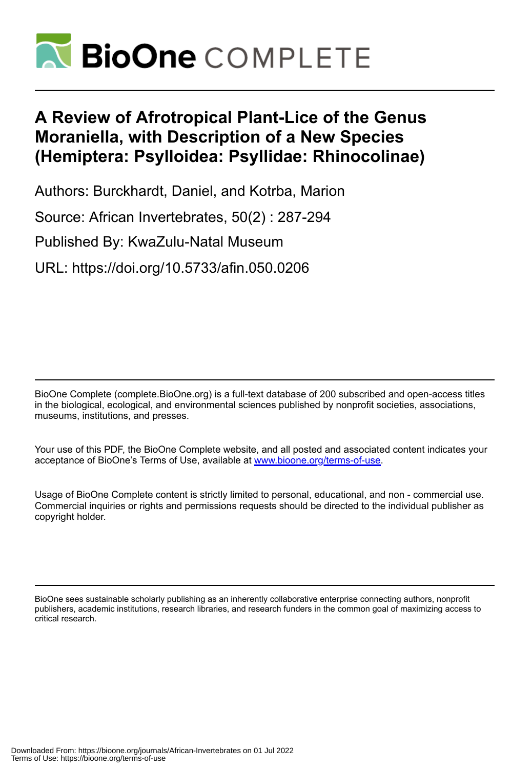

# **A Review of Afrotropical Plant-Lice of the Genus Moraniella, with Description of a New Species (Hemiptera: Psylloidea: Psyllidae: Rhinocolinae)**

Authors: Burckhardt, Daniel, and Kotrba, Marion

Source: African Invertebrates, 50(2) : 287-294

Published By: KwaZulu-Natal Museum

URL: https://doi.org/10.5733/afin.050.0206

BioOne Complete (complete.BioOne.org) is a full-text database of 200 subscribed and open-access titles in the biological, ecological, and environmental sciences published by nonprofit societies, associations, museums, institutions, and presses.

Your use of this PDF, the BioOne Complete website, and all posted and associated content indicates your acceptance of BioOne's Terms of Use, available at www.bioone.org/terms-of-use.

Usage of BioOne Complete content is strictly limited to personal, educational, and non - commercial use. Commercial inquiries or rights and permissions requests should be directed to the individual publisher as copyright holder.

BioOne sees sustainable scholarly publishing as an inherently collaborative enterprise connecting authors, nonprofit publishers, academic institutions, research libraries, and research funders in the common goal of maximizing access to critical research.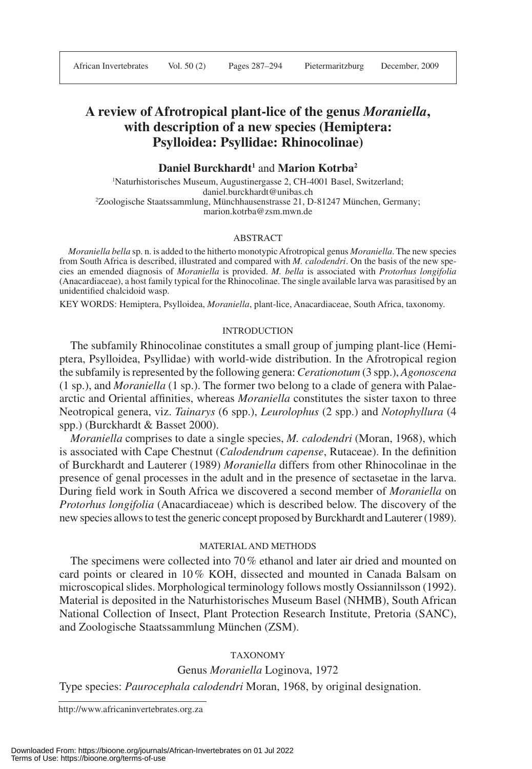# **A review of Afrotropical plant-lice of the genus** *Moraniella***, with description of a new species (Hemiptera: Psylloidea: Psyllidae: Rhinocolinae)**

## **Daniel Burckhardt1** and **Marion Kotrba2**

1 Naturhistorisches Museum, Augustinergasse 2, CH-4001 Basel, Switzerland; daniel.burckhardt@unibas.ch 2 Zoologische Staatssammlung, Münchhausenstrasse 21, D-81247 München, Germany; marion.kotrba@zsm.mwn.de

#### ABSTRACT

*Moraniella bella* sp. n. is added to the hitherto monotypic Afrotropical genus *Moraniella*. The new species from South Africa is described, illustrated and compared with *M. calodendri*. On the basis of the new species an emended diagnosis of *Moraniella* is provided. *M. bella* is associated with *Protorhus longifolia* (Anacardiaceae), a host family typical for the Rhinocolinae. The single available larva was parasitised by an unidentified chalcidoid wasp.

KEY WORDS: Hemiptera, Psylloidea, *Moraniella*, plant-lice, Anacardiaceae, South Africa, taxonomy.

#### INTRODUCTION

The subfamily Rhinocolinae constitutes a small group of jumping plant-lice (Hemiptera, Psylloidea, Psyllidae) with world-wide distribution. In the Afrotropical region the subfamily is represented by the following genera: *Cerationotum* (3 spp.), *Agonoscena* (1 sp.), and *Moraniella* (1 sp.). The former two belong to a clade of genera with Palaearctic and Oriental affinities, whereas *Moraniella* constitutes the sister taxon to three Neotropical genera, viz. *Tainarys* (6 spp.), *Leurolophus* (2 spp.) and *Notophyllura* (4 spp.) (Burckhardt & Basset 2000).

*Moraniella* comprises to date a single species, *M. calodendri* (Moran, 1968), which is associated with Cape Chestnut (*Calodendrum capense*, Rutaceae). In the definition of Burckhardt and Lauterer (1989) *Moraniella* differs from other Rhinocolinae in the presence of genal processes in the adult and in the presence of sectasetae in the larva. During field work in South Africa we discovered a second member of *Moraniella* on *Protorhus longifolia* (Anacardiaceae) which is described below. The discovery of the new species allows to test the generic concept proposed by Burckhardt and Lauterer (1989).

### MATERIAL AND METHODS

The specimens were collected into 70 % ethanol and later air dried and mounted on card points or cleared in 10 % KOH, dissected and mounted in Canada Balsam on microscopical slides. Morphological terminology follows mostly Ossiannilsson (1992). Material is deposited in the Naturhistorisches Museum Basel (NHMB), South African National Collection of Insect, Plant Protection Research Institute, Pretoria (SANC), and Zoologische Staatssammlung München (ZSM).

#### TAXONOMY

Genus *Moraniella* Loginova, 1972

Type species: *Paurocephala calodendri* Moran, 1968, by original designation.

http://www.africaninvertebrates.org.za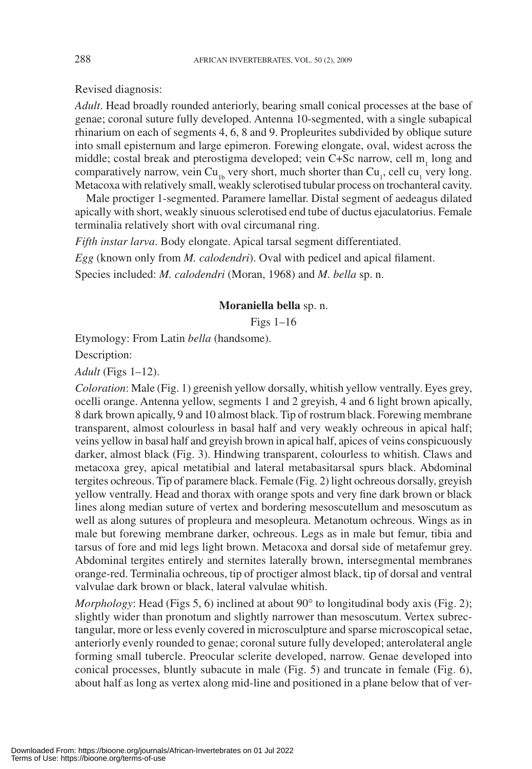Revised diagnosis:

*Adult*. Head broadly rounded anteriorly, bearing small conical processes at the base of genae; coronal suture fully developed. Antenna 10-segmented, with a single subapical rhinarium on each of segments 4, 6, 8 and 9. Propleurites subdivided by oblique suture into small episternum and large epimeron. Forewing elongate, oval, widest across the middle; costal break and pterostigma developed; vein C+Sc narrow, cell m<sub>1</sub> long and comparatively narrow, vein Cu<sub>1b</sub> very short, much shorter than  $Cu_1$ , cell cu<sub>1</sub> very long. Metacoxa with relatively small, weakly sclerotised tubular process on trochanteral cavity.

Male proctiger 1-segmented. Paramere lamellar. Distal segment of aedeagus dilated apically with short, weakly sinuous sclerotised end tube of ductus ejaculatorius. Female terminalia relatively short with oval circumanal ring.

*Fifth instar larva*. Body elongate. Apical tarsal segment differentiated.

*Egg* (known only from *M. calodendri*). Oval with pedicel and apical filament.

Species included: *M. calodendri* (Moran, 1968) and *M. bella* sp. n.

# **Moraniella bella** sp. n.

Figs 1–16

Etymology: From Latin *bella* (handsome).

Description:

*Adult* (Figs 1–12).

*Coloration*: Male (Fig. 1) greenish yellow dorsally, whitish yellow ventrally. Eyes grey, ocelli orange. Antenna yellow, segments 1 and 2 greyish, 4 and 6 light brown apically, 8 dark brown apically, 9 and 10 almost black. Tip of rostrum black. Forewing membrane transparent, almost colourless in basal half and very weakly ochreous in apical half; veins yellow in basal half and greyish brown in apical half, apices of veins conspicuously darker, almost black (Fig. 3). Hindwing transparent, colourless to whitish. Claws and metacoxa grey, apical metatibial and lateral metabasitarsal spurs black. Abdominal tergites ochreous. Tip of paramere black. Female (Fig. 2) light ochreous dorsally, greyish yellow ventrally. Head and thorax with orange spots and very fine dark brown or black lines along median suture of vertex and bordering mesoscutellum and mesoscutum as well as along sutures of propleura and mesopleura. Metanotum ochreous. Wings as in male but forewing membrane darker, ochreous. Legs as in male but femur, tibia and tarsus of fore and mid legs light brown. Metacoxa and dorsal side of metafemur grey. Abdominal tergites entirely and sternites laterally brown, intersegmental membranes orange-red. Terminalia ochreous, tip of proctiger almost black, tip of dorsal and ventral valvulae dark brown or black, lateral valvulae whitish.

*Morphology*: Head (Figs 5, 6) inclined at about 90<sup>o</sup> to longitudinal body axis (Fig. 2); slightly wider than pronotum and slightly narrower than mesoscutum. Vertex subrectangular, more or less evenly covered in microsculpture and sparse microscopical setae, anteriorly evenly rounded to genae; coronal suture fully developed; anterolateral angle forming small tubercle. Preocular sclerite developed, narrow. Genae developed into conical processes, bluntly subacute in male (Fig. 5) and truncate in female (Fig. 6), about half as long as vertex along mid-line and positioned in a plane below that of ver-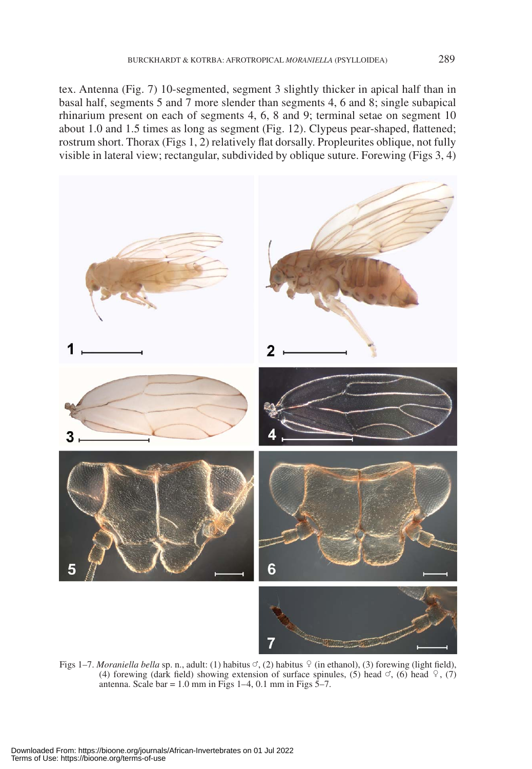tex. Antenna (Fig. 7) 10-segmented, segment 3 slightly thicker in apical half than in basal half, segments 5 and 7 more slender than segments 4, 6 and 8; single subapical rhinarium present on each of segments 4, 6, 8 and 9; terminal setae on segment 10 about 1.0 and 1.5 times as long as segment (Fig. 12). Clypeus pear-shaped, flattened; rostrum short. Thorax (Figs 1, 2) relatively flat dorsally. Propleurites oblique, not fully visible in lateral view; rectangular, subdivided by oblique suture. Forewing (Figs 3, 4)



Figs 1–7. *Moraniella bella* sp. n., adult: (1) habitus  $\heartsuit$ , (2) habitus  $\frac{1}{2}$  (in ethanol), (3) forewing (light field), (4) forewing (dark field) showing extension of surface spinules, (5) head  $\circ$ , (6) head  $\circ$ , (7) antenna. Scale bar =  $1.0$  mm in Figs  $1-4$ ,  $0.1$  mm in Figs  $5-7$ .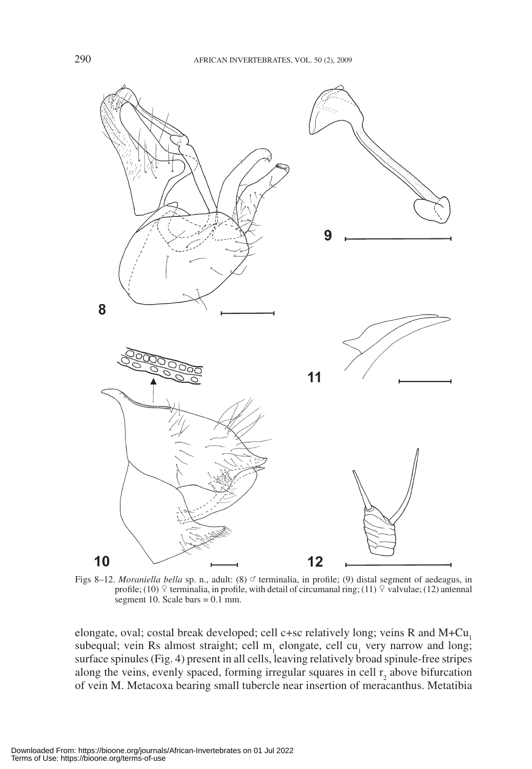

Figs 8–12. *Moraniella bella* sp. n., adult: (8)  $\circ$  terminalia, in profile; (9) distal segment of aedeagus, in profile; (10)  $\degree$  terminalia, in profile, with detail of circumanal ring; (11)  $\degree$  valvulae; (12) antennal segment 10. Scale bars  $= 0.1$  mm.

elongate, oval; costal break developed; cell c+sc relatively long; veins R and M+Cu<sub>1</sub> subequal; vein Rs almost straight; cell  $m<sub>1</sub>$  elongate, cell cu<sub>1</sub> very narrow and long; surface spinules (Fig. 4) present in all cells, leaving relatively broad spinule-free stripes along the veins, evenly spaced, forming irregular squares in cell  $r_2$  above bifurcation of vein M. Metacoxa bearing small tubercle near insertion of meracanthus. Metatibia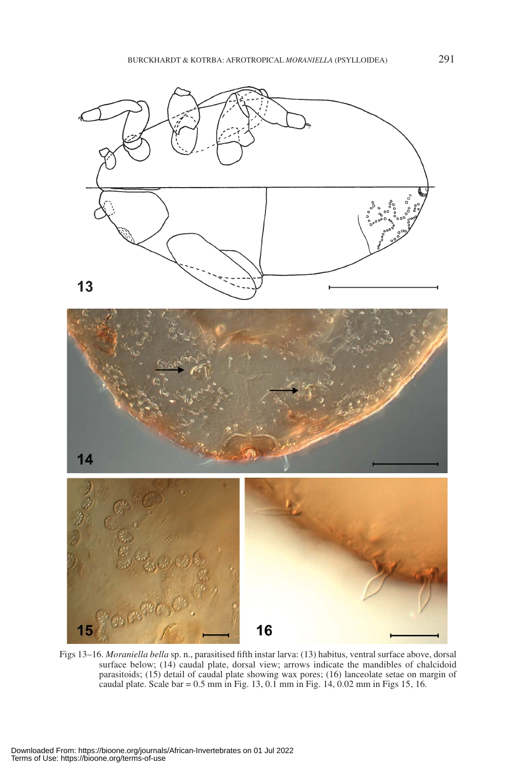



Figs 13–16. *Moraniella bella* sp. n., parasitised fifth instar larva: (13) habitus, ventral surface above, dorsal surface below; (14) caudal plate, dorsal view; arrows indicate the mandibles of chalcidoid parasitoids; (15) detail of caudal plate showing wax pores; (16) lanceolate setae on margin of caudal plate. Scale bar = 0.5 mm in Fig. 13, 0.1 mm in Fig. 14, 0.02 mm in Figs 15, 16.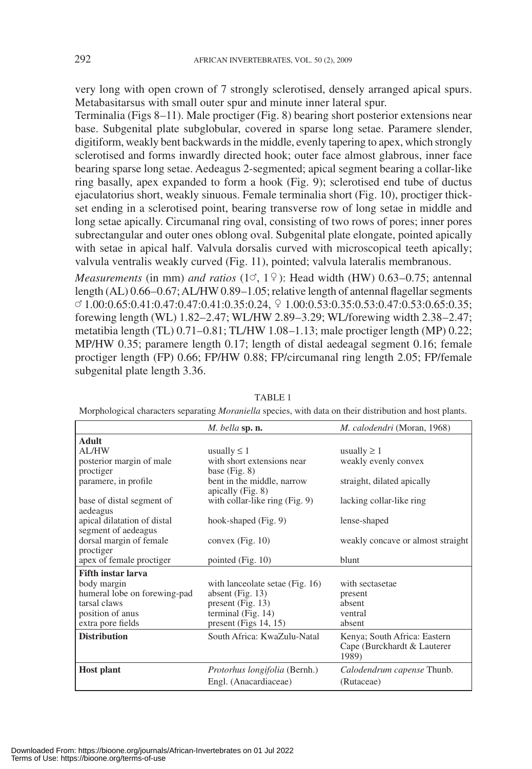very long with open crown of 7 strongly sclerotised, densely arranged apical spurs. Metabasitarsus with small outer spur and minute inner lateral spur.

Terminalia (Figs 8–11). Male proctiger (Fig. 8) bearing short posterior extensions near base. Subgenital plate subglobular, covered in sparse long setae. Paramere slender, digitiform, weakly bent backwards in the middle, evenly tapering to apex, which strongly sclerotised and forms inwardly directed hook; outer face almost glabrous, inner face bearing sparse long setae. Aedeagus 2-segmented; apical segment bearing a collar-like ring basally, apex expanded to form a hook (Fig. 9); sclerotised end tube of ductus ejaculatorius short, weakly sinuous. Female terminalia short (Fig. 10), proctiger thickset ending in a sclerotised point, bearing transverse row of long setae in middle and long setae apically. Circumanal ring oval, consisting of two rows of pores; inner pores subrectangular and outer ones oblong oval. Subgenital plate elongate, pointed apically with setae in apical half. Valvula dorsalis curved with microscopical teeth apically; valvula ventralis weakly curved (Fig. 11), pointed; valvula lateralis membranous.

*Measurements* (in mm) *and ratios* (1 $\sigma$ , 1 $\circ$ ): Head width (HW) 0.63–0.75; antennal length (AL) 0.66–0.67; AL/HW 0.89–1.05; relative length of antennal flagellar segments  $\textcircled{1.00:0.65:0.41:0.47:0.41:0.35:0.24, }$   $\textcircled{1.00:0.53:0.35:0.53:0.47:0.53:0.65:0.35;}$ forewing length (WL) 1.82–2.47; WL/HW 2.89–3.29; WL/forewing width 2.38–2.47; metatibia length (TL) 0.71–0.81; TL/HW 1.08–1.13; male proctiger length (MP) 0.22; MP/HW 0.35; paramere length 0.17; length of distal aedeagal segment 0.16; female proctiger length (FP) 0.66; FP/HW 0.88; FP/circumanal ring length 2.05; FP/female subgenital plate length 3.36.

|                              | M. bella sp. n.                      | M. calodendri (Moran, 1968)       |
|------------------------------|--------------------------------------|-----------------------------------|
| <b>Adult</b>                 |                                      |                                   |
| AL/HW                        | usually $\leq 1$                     | usually $\geq 1$                  |
| posterior margin of male     | with short extensions near           | weakly evenly convex              |
| proctiger                    | base $(Fig. 8)$                      |                                   |
| paramere, in profile         | bent in the middle, narrow           | straight, dilated apically        |
|                              | apically $(Fig. 8)$                  |                                   |
| base of distal segment of    | with collar-like ring (Fig. 9)       | lacking collar-like ring          |
| aedeagus                     |                                      |                                   |
| apical dilatation of distal  | hook-shaped (Fig. 9)                 | lense-shaped                      |
| segment of aedeagus          |                                      |                                   |
| dorsal margin of female      | convex $(Fig. 10)$                   | weakly concave or almost straight |
| proctiger                    |                                      |                                   |
| apex of female proctiger     | pointed $(Fig. 10)$                  | blunt                             |
| <b>Fifth instar larva</b>    |                                      |                                   |
| body margin                  | with lanceolate setae (Fig. 16)      | with sectasetae                   |
| humeral lobe on forewing-pad | absent (Fig. $13$ )                  | present                           |
| tarsal claws                 | present (Fig. $13$ )                 | absent                            |
| position of anus             | terminal (Fig. 14)                   | ventral                           |
| extra pore fields            | present (Figs $14, 15$ )             | absent                            |
| <b>Distribution</b>          | South Africa: KwaZulu-Natal          | Kenya; South Africa: Eastern      |
|                              |                                      | Cape (Burckhardt & Lauterer       |
|                              |                                      | 1989)                             |
|                              |                                      |                                   |
| <b>Host plant</b>            | <i>Protorhus longifolia</i> (Bernh.) | Calodendrum capense Thunb.        |
|                              | Engl. (Anacardiaceae)                | (Rutaceae)                        |

TABLE 1

Morphological characters separating *Moraniella* species, with data on their distribution and host plants.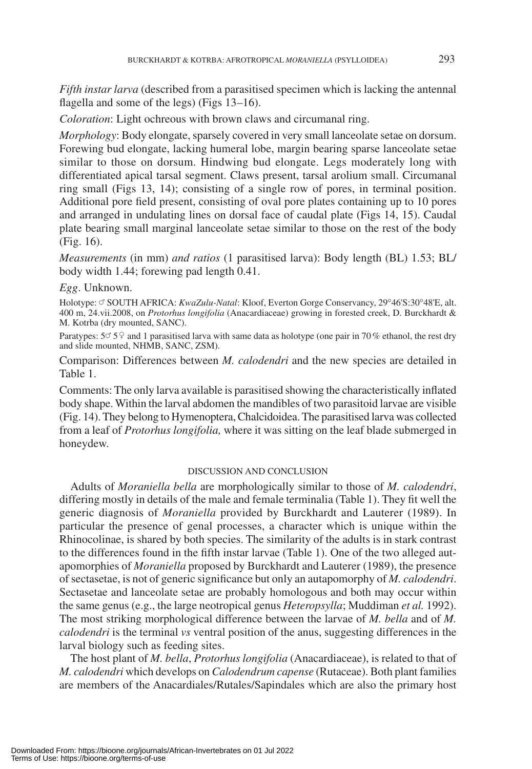*Fifth instar larva* (described from a parasitised specimen which is lacking the antennal flagella and some of the legs) (Figs 13–16).

*Coloration*: Light ochreous with brown claws and circumanal ring.

*Morphology*: Body elongate, sparsely covered in very small lanceolate setae on dorsum. Forewing bud elongate, lacking humeral lobe, margin bearing sparse lanceolate setae similar to those on dorsum. Hindwing bud elongate. Legs moderately long with differentiated apical tarsal segment. Claws present, tarsal arolium small. Circumanal ring small (Figs 13, 14); consisting of a single row of pores, in terminal position. Additional pore field present, consisting of oval pore plates containing up to 10 pores and arranged in undulating lines on dorsal face of caudal plate (Figs 14, 15). Caudal plate bearing small marginal lanceolate setae similar to those on the rest of the body (Fig. 16).

*Measurements* (in mm) *and ratios* (1 parasitised larva): Body length (BL) 1.53; BL/ body width 1.44; forewing pad length 0.41.

#### *Egg*. Unknown.

Holotype: ♂ SOUTH AFRICA: *KwaZulu-Natal*: Kloof, Everton Gorge Conservancy, 29°46'S:30°48'E, alt. 400 m, 24.vii.2008, on *Protorhus longifolia* (Anacardiaceae) growing in forested creek, D. Burckhardt & M. Kotrba (dry mounted, SANC).

Paratypes:  $5^\circ 5^\circ$  and 1 parasitised larva with same data as holotype (one pair in 70 % ethanol, the rest dry and slide mounted, NHMB, SANC, ZSM).

Comparison: Differences between *M. calodendri* and the new species are detailed in Table 1.

Comments: The only larva available is parasitised showing the characteristically inflated body shape. Within the larval abdomen the mandibles of two parasitoid larvae are visible (Fig. 14). They belong to Hymenoptera, Chalcidoidea. The parasitised larva was collected from a leaf of *Protorhus longifolia,* where it was sitting on the leaf blade submerged in honeydew.

#### DISCUSSION AND CONCLUSION

Adults of *Moraniella bella* are morphologically similar to those of *M. calodendri*, differing mostly in details of the male and female terminalia (Table 1). They fit well the generic diagnosis of *Moraniella* provided by Burckhardt and Lauterer (1989). In particular the presence of genal processes, a character which is unique within the Rhinocolinae, is shared by both species. The similarity of the adults is in stark contrast to the differences found in the fifth instar larvae (Table 1). One of the two alleged autapomorphies of *Moraniella* proposed by Burckhardt and Lauterer (1989), the presence of sectasetae, is not of generic significance but only an autapomorphy of *M. calodendri*. Sectasetae and lanceolate setae are probably homologous and both may occur within the same genus (e.g., the large neotropical genus *Heteropsylla*; Muddiman *et al.* 1992). The most striking morphological difference between the larvae of *M. bella* and of *M. calodendri* is the terminal *vs* ventral position of the anus, suggesting differences in the larval biology such as feeding sites.

The host plant of *M. bella*, *Protorhus longifolia* (Anacardiaceae), is related to that of *M. calodendri* which develops on *Calodendrum capense* (Rutaceae). Both plant families are members of the Anacardiales/Rutales/Sapindales which are also the primary host